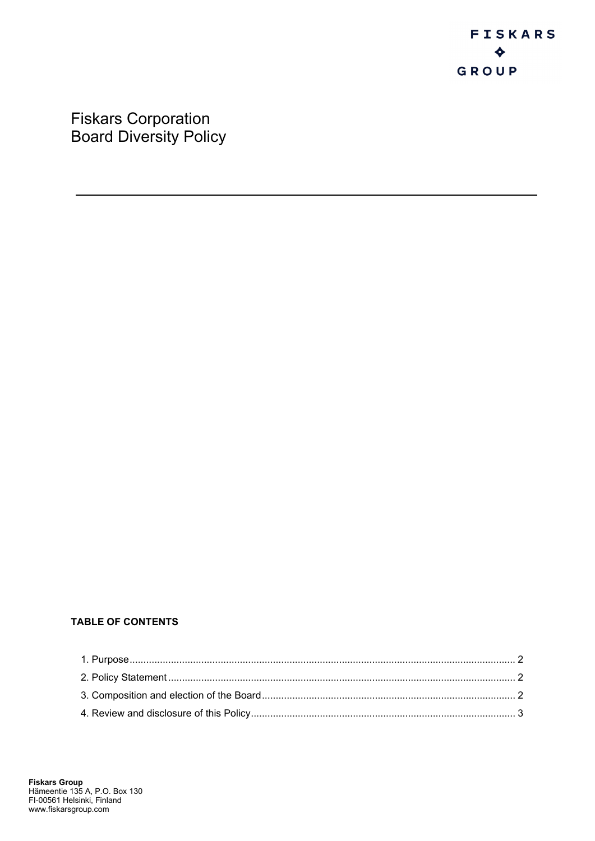Fiskars Corporation Board Diversity Policy

# **TABLE OF CONTENTS**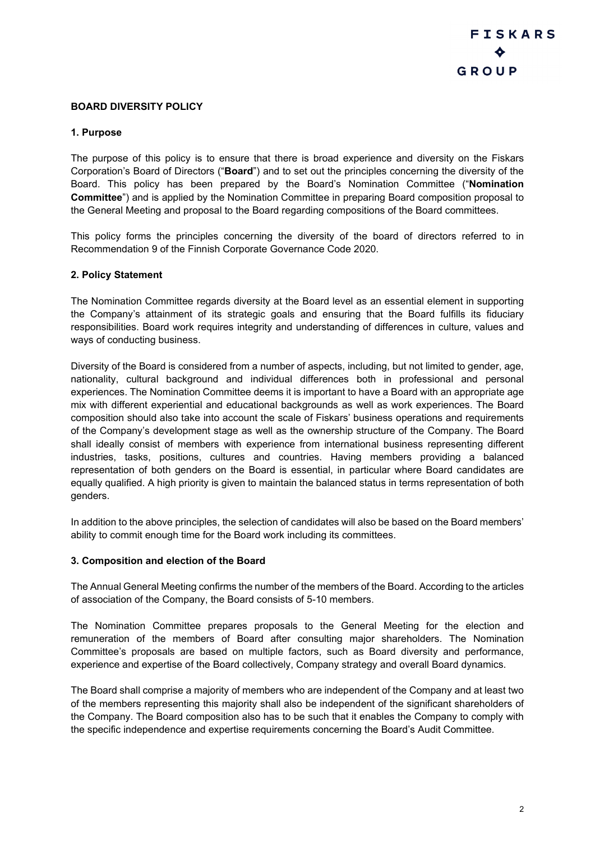## **BOARD DIVERSITY POLICY**

### <span id="page-1-0"></span>**1. Purpose**

The purpose of this policy is to ensure that there is broad experience and diversity on the Fiskars Corporation's Board of Directors ("**Board**") and to set out the principles concerning the diversity of the Board. This policy has been prepared by the Board's Nomination Committee ("**Nomination Committee**") and is applied by the Nomination Committee in preparing Board composition proposal to the General Meeting and proposal to the Board regarding compositions of the Board committees.

This policy forms the principles concerning the diversity of the board of directors referred to in Recommendation 9 of the Finnish Corporate Governance Code 2020.

#### <span id="page-1-1"></span>**2. Policy Statement**

The Nomination Committee regards diversity at the Board level as an essential element in supporting the Company's attainment of its strategic goals and ensuring that the Board fulfills its fiduciary responsibilities. Board work requires integrity and understanding of differences in culture, values and ways of conducting business.

Diversity of the Board is considered from a number of aspects, including, but not limited to gender, age, nationality, cultural background and individual differences both in professional and personal experiences. The Nomination Committee deems it is important to have a Board with an appropriate age mix with different experiential and educational backgrounds as well as work experiences. The Board composition should also take into account the scale of Fiskars' business operations and requirements of the Company's development stage as well as the ownership structure of the Company. The Board shall ideally consist of members with experience from international business representing different industries, tasks, positions, cultures and countries. Having members providing a balanced representation of both genders on the Board is essential, in particular where Board candidates are equally qualified. A high priority is given to maintain the balanced status in terms representation of both genders.

In addition to the above principles, the selection of candidates will also be based on the Board members' ability to commit enough time for the Board work including its committees.

#### <span id="page-1-2"></span>**3. Composition and election of the Board**

The Annual General Meeting confirms the number of the members of the Board. According to the articles of association of the Company, the Board consists of 5-10 members.

The Nomination Committee prepares proposals to the General Meeting for the election and remuneration of the members of Board after consulting major shareholders. The Nomination Committee's proposals are based on multiple factors, such as Board diversity and performance, experience and expertise of the Board collectively, Company strategy and overall Board dynamics.

The Board shall comprise a majority of members who are independent of the Company and at least two of the members representing this majority shall also be independent of the significant shareholders of the Company. The Board composition also has to be such that it enables the Company to comply with the specific independence and expertise requirements concerning the Board's Audit Committee.